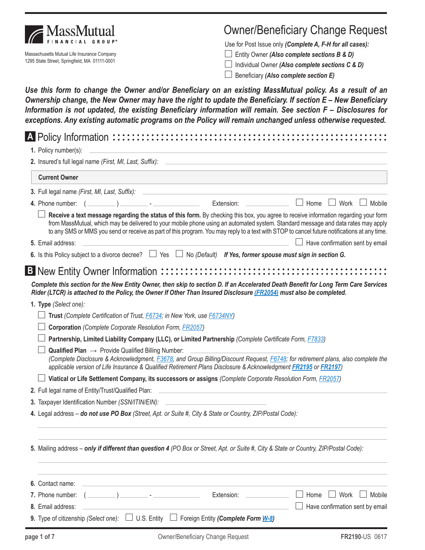

Massachusetts Mutual Life Insurance Company 1295 State Street, Springfield, MA 01111-0001

# Owner/Beneficiary Change Request

Use for Post Issue only *(Complete A, F-H for all cases):*

Entity Owner *(Also complete sections B & D)*

Individual Owner *(Also complete sections C & D)*

Beneficiary *(Also complete section E)*

*Use this form to change the Owner and/or Beneficiary on an existing MassMutual policy. As a result of an Ownership change, the New Owner may have the right to update the Beneficiary. If section E – New Beneficiary Information is not updated, the existing Beneficiary information will remain. See section F – Disclosures for exceptions. Any existing automatic programs on the Policy will remain unchanged unless otherwise requested.*

|    | 1. Policy number(s):                                                                                                                                                                                                                                                                                                                                                                                                      |
|----|---------------------------------------------------------------------------------------------------------------------------------------------------------------------------------------------------------------------------------------------------------------------------------------------------------------------------------------------------------------------------------------------------------------------------|
|    |                                                                                                                                                                                                                                                                                                                                                                                                                           |
|    | <b>Current Owner</b>                                                                                                                                                                                                                                                                                                                                                                                                      |
|    | 3. Full legal name (First, MI, Last, Suffix): __________________________________                                                                                                                                                                                                                                                                                                                                          |
|    | 4. Phone number: ( ________) __________- _ Extension: ______________ _ Home _ Work _ Mobile                                                                                                                                                                                                                                                                                                                               |
|    | Receive a text message regarding the status of this form. By checking this box, you agree to receive information regarding your form<br>from MassMutual, which may be delivered to your mobile phone using an automated system. Standard message and data rates may apply<br>to any SMS or MMS you send or receive as part of this program. You may reply to a text with STOP to cancel future notifications at any time. |
|    | Have confirmation sent by email<br>5. Email address:                                                                                                                                                                                                                                                                                                                                                                      |
|    | 6. Is this Policy subject to a divorce decree? $\Box$ Yes $\Box$ No (Default) If Yes, former spouse must sign in section G.                                                                                                                                                                                                                                                                                               |
|    |                                                                                                                                                                                                                                                                                                                                                                                                                           |
|    | Complete this section for the New Entity Owner, then skip to section D. If an Accelerated Death Benefit for Long Term Care Services<br>Rider (LTCR) is attached to the Policy, the Owner If Other Than Insured Disclosure (FR2054) must also be completed.                                                                                                                                                                |
|    | 1. Type (Select one):                                                                                                                                                                                                                                                                                                                                                                                                     |
|    | Trust (Complete Certification of Trust, F6734; in New York, use F6734NY)                                                                                                                                                                                                                                                                                                                                                  |
|    | <b>Corporation</b> (Complete Corporate Resolution Form, FR2057)                                                                                                                                                                                                                                                                                                                                                           |
|    | Partnership, Limited Liability Company (LLC), or Limited Partnership (Complete Certificate Form, F7833)                                                                                                                                                                                                                                                                                                                   |
|    | <b>Qualified Plan</b> $\rightarrow$ Provide Qualified Billing Number:<br>(Complete Disclosure & Acknowledgment, F3678, and Group Billing/Discount Request, F6748; for retirement plans, also complete the<br>applicable version of Life Insurance & Qualified Retirement Plans Disclosure & Acknowledgment FR2195 or FR2197)                                                                                              |
|    | Viatical or Life Settlement Company, its successors or assigns (Complete Corporate Resolution Form, FR2057)                                                                                                                                                                                                                                                                                                               |
|    | 2. Full legal name of Entity/Trust/Qualified Plan:<br><u> 1989 - Johann Harry Harry Harry Harry Harry Harry Harry Harry Harry Harry Harry Harry Harry Harry Harry Harry</u>                                                                                                                                                                                                                                               |
|    | 3. Taxpayer Identification Number (SSN/ITIN/EIN): ______________________________                                                                                                                                                                                                                                                                                                                                          |
|    | 4. Legal address - do not use PO Box (Street, Apt. or Suite #, City & State or Country, ZIP/Postal Code):                                                                                                                                                                                                                                                                                                                 |
|    | 5. Mailing address - only if different than question 4 (PO Box or Street, Apt. or Suite #, City & State or Country, ZIP/Postal Code):                                                                                                                                                                                                                                                                                     |
| 6. | Contact name:                                                                                                                                                                                                                                                                                                                                                                                                             |
|    | Extension:<br>Work<br>7. Phone number:<br>Home<br>Mobile<br>$\blacksquare$ . The contract of the contract of the contract of the contract of the contract of the contract of the contract of the contract of the contract of the contract of the contract of the contract of the contract of the                                                                                                                          |
|    | 8. Email address:<br>Have confirmation sent by email                                                                                                                                                                                                                                                                                                                                                                      |
|    | 9. Type of citizenship (Select one): $\Box$ U.S. Entity<br>Foreign Entity (Complete Form W-8)                                                                                                                                                                                                                                                                                                                             |
|    | Owner/Beneficiary Change Request<br>page 1 of 7<br>FR2190-US 0617                                                                                                                                                                                                                                                                                                                                                         |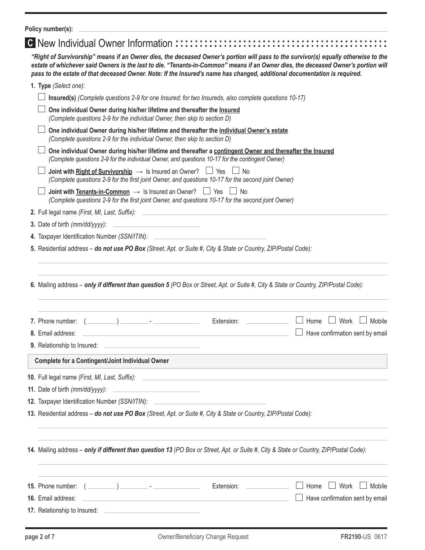Policy number(s): <u>\_\_\_\_\_\_\_\_\_\_\_\_\_\_\_\_\_\_\_\_\_\_\_\_\_\_\_\_\_\_\_\_\_</u>

| "Right of Survivorship" means if an Owner dies, the deceased Owner's portion will pass to the survivor(s) equally otherwise to the<br>estate of whichever said Owners is the last to die. "Tenants-in-Common" means if an Owner dies, the deceased Owner's portion will<br>pass to the estate of that deceased Owner. Note: If the Insured's name has changed, additional documentation is required. |
|------------------------------------------------------------------------------------------------------------------------------------------------------------------------------------------------------------------------------------------------------------------------------------------------------------------------------------------------------------------------------------------------------|
| 1. Type (Select one):                                                                                                                                                                                                                                                                                                                                                                                |
| Insured(s) (Complete questions 2-9 for one Insured; for two Insureds, also complete questions 10-17)                                                                                                                                                                                                                                                                                                 |
| One individual Owner during his/her lifetime and thereafter the Insured<br>(Complete questions 2-9 for the individual Owner, then skip to section D)                                                                                                                                                                                                                                                 |
| One individual Owner during his/her lifetime and thereafter the individual Owner's estate<br>(Complete questions 2-9 for the individual Owner, then skip to section D)                                                                                                                                                                                                                               |
| One individual Owner during his/her lifetime and thereafter a contingent Owner and thereafter the Insured<br>(Complete questions 2-9 for the individual Owner, and questions 10-17 for the contingent Owner)                                                                                                                                                                                         |
| <b>Joint with Right of Survivorship</b> $\rightarrow$ Is Insured an Owner? $\Box$ Yes<br>$\Box$ No<br>(Complete questions 2-9 for the first joint Owner, and questions 10-17 for the second joint Owner)                                                                                                                                                                                             |
| <b>Joint with Tenants-in-Common</b> $\rightarrow$ Is Insured an Owner? $\Box$ Yes $\Box$ No<br>(Complete questions 2-9 for the first joint Owner, and questions 10-17 for the second joint Owner)                                                                                                                                                                                                    |
| 2. Full legal name (First, MI, Last, Suffix):                                                                                                                                                                                                                                                                                                                                                        |
| 3. Date of birth (mm/dd/yyyy):<br><u> 1989 - Andrea State Barbara, amerikan per</u>                                                                                                                                                                                                                                                                                                                  |
| 4. Taxpayer Identification Number (SSN/ITIN): __________________________________                                                                                                                                                                                                                                                                                                                     |
| 5. Residential address - do not use PO Box (Street, Apt. or Suite #, City & State or Country, ZIP/Postal Code):                                                                                                                                                                                                                                                                                      |
| 6. Mailing address - only if different than question 5 (PO Box or Street, Apt. or Suite #, City & State or Country, ZIP/Postal Code):<br>Home<br>Work<br>Mobile<br>7. Phone number:<br>Extension:<br>$\mathbf{I}$<br>Have confirmation sent by email<br>8. Email address:                                                                                                                            |
| 9. Relationship to Insured:                                                                                                                                                                                                                                                                                                                                                                          |
| <b>Complete for a Contingent/Joint Individual Owner</b>                                                                                                                                                                                                                                                                                                                                              |
| 10. Full legal name (First, MI, Last, Suffix): et al. et al. et al. et al. et al. et al. et al. et al. et al. e                                                                                                                                                                                                                                                                                      |
| 11. Date of birth (mm/dd/yyyy):                                                                                                                                                                                                                                                                                                                                                                      |
|                                                                                                                                                                                                                                                                                                                                                                                                      |
| 12. Taxpayer Identification Number (SSN/ITIN):<br>the control of the control of the control of the control of the control of                                                                                                                                                                                                                                                                         |
| 13. Residential address - do not use PO Box (Street, Apt. or Suite #, City & State or Country, ZIP/Postal Code):                                                                                                                                                                                                                                                                                     |
| 14. Mailing address - only if different than question 13 (PO Box or Street, Apt. or Suite #, City & State or Country, ZIP/Postal Code):                                                                                                                                                                                                                                                              |
| Home<br>Work<br>Mobile                                                                                                                                                                                                                                                                                                                                                                               |
| <u> 1980 - Johann Barbara, martxa alemaniar argametria (h. 1980).</u><br>16. Email address:<br>Have confirmation sent by email                                                                                                                                                                                                                                                                       |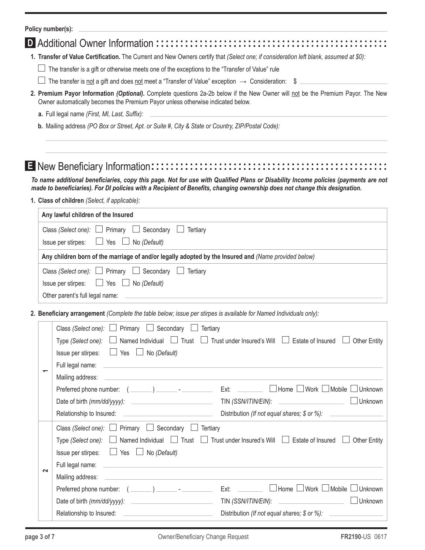Policy number(s):

1. Transfer of Value Certification. The Current and New Owners certify that (Select one; if consideration left blank, assumed at \$0):

 $\Box$  The transfer is a gift or otherwise meets one of the exceptions to the "Transfer of Value" rule

 $\Box$  The transfer is not a gift and does not meet a "Transfer of Value" exception  $\rightarrow$  Consideration:  $\Im$   $\Box$ 

2. Premium Payor Information (Optional). Complete questions 2a-2b below if the New Owner will not be the Premium Payor. The New Owner automatically becomes the Premium Payor unless otherwise indicated below.

a. Full legal name (First, MI, Last, Suffix):

b. Mailing address (PO Box or Street, Apt. or Suite #, City & State or Country, ZIP/Postal Code):

## 

To name additional beneficiaries, copy this page. Not for use with Qualified Plans or Disability Income policies (payments are not made to beneficiaries). For DI policies with a Recipient of Benefits, changing ownership does not change this designation.

### 1. Class of children (Select, if applicable):

| Any lawful children of the Insured                                                                   |  |  |  |  |  |  |  |  |
|------------------------------------------------------------------------------------------------------|--|--|--|--|--|--|--|--|
| Class (Select one): $\Box$ Primary $\Box$ Secondary $\Box$ Tertiary                                  |  |  |  |  |  |  |  |  |
| Issue per stirpes: $\Box$ Yes $\Box$ No (Default)                                                    |  |  |  |  |  |  |  |  |
| Any children born of the marriage of and/or legally adopted by the Insured and (Name provided below) |  |  |  |  |  |  |  |  |
| Class (Select one): $\Box$ Primary $\Box$ Secondary $\Box$ Tertiary                                  |  |  |  |  |  |  |  |  |
| Issue per stirpes: $\Box$ Yes $\Box$ No (Default)                                                    |  |  |  |  |  |  |  |  |
| Other parent's full legal name:                                                                      |  |  |  |  |  |  |  |  |

2. Beneficiary arrangement (Complete the table below; issue per stirpes is available for Named Individuals only):

|        | Primary □ Secondary<br>Class (Select one): $\Box$<br>Tertiary                                                                     |                                                                                  |  |  |  |  |  |  |  |
|--------|-----------------------------------------------------------------------------------------------------------------------------------|----------------------------------------------------------------------------------|--|--|--|--|--|--|--|
|        | Named Individual $\Box$ Trust $\Box$<br>Type (Select one):                                                                        | Trust under Insured's Will □ Estate of Insured  <br><b>Other Entity</b>          |  |  |  |  |  |  |  |
|        | $\Box$ Yes $\Box$ No (Default)<br>Issue per stirpes:                                                                              |                                                                                  |  |  |  |  |  |  |  |
|        | Full legal name:<br>and the state of the control of the state of the state of the state of the state of the state of the state of |                                                                                  |  |  |  |  |  |  |  |
|        | Mailing address:                                                                                                                  |                                                                                  |  |  |  |  |  |  |  |
|        |                                                                                                                                   | $H$ ome $\Box$ Work $\Box$ Mobile $\Box$<br>Unknown                              |  |  |  |  |  |  |  |
|        |                                                                                                                                   | Unknown                                                                          |  |  |  |  |  |  |  |
|        |                                                                                                                                   |                                                                                  |  |  |  |  |  |  |  |
|        | Primary $\Box$ Secondary $\Box$<br>Class (Select one): $\Box$<br>Tertiary                                                         |                                                                                  |  |  |  |  |  |  |  |
|        | Type (Select one): $\Box$ Named Individual $\Box$ Trust $\Box$                                                                    | Trust under Insured's Will $\Box$<br>Estate of Insured<br><b>Other Entity</b>    |  |  |  |  |  |  |  |
|        | Issue per stirpes: $\Box$ Yes $\Box$ No (Default)                                                                                 |                                                                                  |  |  |  |  |  |  |  |
| $\sim$ | Full legal name:<br>the control of the control of the control of the control of the control of the control of                     |                                                                                  |  |  |  |  |  |  |  |
|        | Mailing address:                                                                                                                  |                                                                                  |  |  |  |  |  |  |  |
|        |                                                                                                                                   | Work ∟Mobile l<br>$\Box$ Unknown<br>Home  <br>Ext:                               |  |  |  |  |  |  |  |
|        |                                                                                                                                   | Unknown<br>TIN (SSN/ITIN/EIN):<br><u> The Communication of the Communication</u> |  |  |  |  |  |  |  |
|        | Relationship to Insured:                                                                                                          | Distribution (If not equal shares; \$ or %):                                     |  |  |  |  |  |  |  |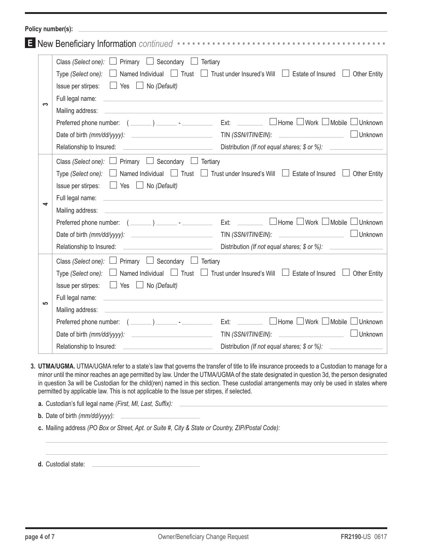|    | Policy number(s):                                                                                                                                |  |  |  |  |  |  |  |  |  |
|----|--------------------------------------------------------------------------------------------------------------------------------------------------|--|--|--|--|--|--|--|--|--|
|    |                                                                                                                                                  |  |  |  |  |  |  |  |  |  |
|    | Class (Select one): $\Box$ Primary $\Box$ Secondary $\Box$ Tertiary                                                                              |  |  |  |  |  |  |  |  |  |
|    | Type (Select one): $\Box$ Named Individual $\Box$ Trust $\Box$ Trust under Insured's Will $\Box$ Estate of Insured $\Box$ Other Entity           |  |  |  |  |  |  |  |  |  |
|    | $\Box$ Yes $\Box$ No (Default)<br>Issue per stirpes:                                                                                             |  |  |  |  |  |  |  |  |  |
| က  |                                                                                                                                                  |  |  |  |  |  |  |  |  |  |
|    | Mailing address:<br><u> 1989 - Andrea Stadt Britain, amerikansk politiker (</u> † 1908)                                                          |  |  |  |  |  |  |  |  |  |
|    | $\Box$ Home $\Box$ Work $\Box$ Mobile $\Box$ Unknown                                                                                             |  |  |  |  |  |  |  |  |  |
|    | TIN (SSN/ITIN/EIN):<br>Unknown                                                                                                                   |  |  |  |  |  |  |  |  |  |
|    |                                                                                                                                                  |  |  |  |  |  |  |  |  |  |
|    | Class (Select one): $\Box$ Primary $\Box$ Secondary $\Box$ Tertiary                                                                              |  |  |  |  |  |  |  |  |  |
|    | Type (Select one): $\Box$ Named Individual $\Box$ Trust $\Box$ Trust under Insured's Will $\Box$ Estate of Insured $\Box$<br><b>Other Entity</b> |  |  |  |  |  |  |  |  |  |
|    | Issue per stirpes: $□$ Yes $□$ No (Default)                                                                                                      |  |  |  |  |  |  |  |  |  |
|    | Full legal name:<br>the control of the control of the control of the control of the control of the control of                                    |  |  |  |  |  |  |  |  |  |
| 4  | Mailing address:                                                                                                                                 |  |  |  |  |  |  |  |  |  |
|    | $\Box$ Home $\Box$ Work $\Box$ Mobile $\Box$ Unknown                                                                                             |  |  |  |  |  |  |  |  |  |
|    | TIN (SSN/ITIN/EIN):<br>$\Box$ Unknown                                                                                                            |  |  |  |  |  |  |  |  |  |
|    |                                                                                                                                                  |  |  |  |  |  |  |  |  |  |
|    | Class (Select one): □ Primary □ Secondary □ Tertiary                                                                                             |  |  |  |  |  |  |  |  |  |
|    | Type (Select one): $\Box$ Named Individual $\Box$ Trust $\Box$ Trust under Insured's Will $\Box$ Estate of Insured $\Box$ Other Entity           |  |  |  |  |  |  |  |  |  |
|    | Issue per stirpes: $\Box$ Yes $\Box$ No (Default)                                                                                                |  |  |  |  |  |  |  |  |  |
| မာ | Full legal name:<br><u> 1989 - Andrea Stadt Britain, amerikansk politiker (</u>                                                                  |  |  |  |  |  |  |  |  |  |
|    | Mailing address:<br><u> 1989 - Johann Harry Harry Harry Harry Harry Harry Harry Harry Harry Harry Harry Harry Harry Harry Harry Harry</u>        |  |  |  |  |  |  |  |  |  |
|    | $\Box$ Home $\Box$ Work $\Box$ Mobile $\Box$ Unknown<br>Ext:                                                                                     |  |  |  |  |  |  |  |  |  |
|    |                                                                                                                                                  |  |  |  |  |  |  |  |  |  |
|    |                                                                                                                                                  |  |  |  |  |  |  |  |  |  |
|    |                                                                                                                                                  |  |  |  |  |  |  |  |  |  |

**3. UTMA/UGMA.** UTMA/UGMA refer to a state's law that governs the transfer of title to life insurance proceeds to a Custodian to manage for a minor until the minor reaches an age permitted by law. Under the UTMA/UGMA of the state designated in question 3d, the person designated in question 3a will be Custodian for the child(ren) named in this section. These custodial arrangements may only be used in states where permitted by applicable law. This is not applicable to the Issue per stirpes, if selected.

**a.** Custodian's full legal name *(First, MI, Last, Suffix):*

- **b.** Date of birth *(mm/dd/yyyy):*
- **c.** Mailing address *(PO Box or Street, Apt. or Suite #, City & State or Country, ZIP/Postal Code):*

**d.** Custodial state: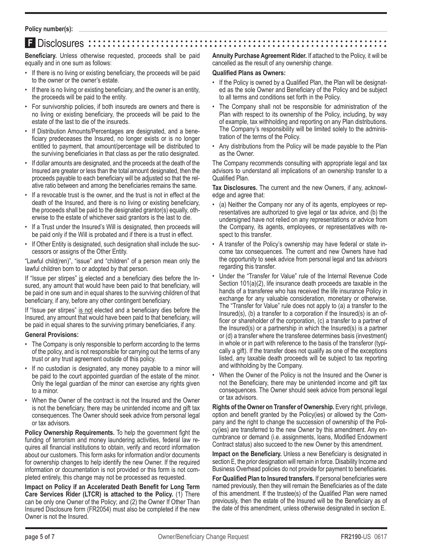### **F** Disclosures ::::

**Beneficiary.** Unless otherwise requested, proceeds shall be paid equally and in one sum as follows:

- If there is no living or existing beneficiary, the proceeds will be paid to the owner or the owner's estate.
- If there is no living or existing beneficiary, and the owner is an entity, the proceeds will be paid to the entity.
- For survivorship policies, if both insureds are owners and there is no living or existing beneficiary, the proceeds will be paid to the estate of the last to die of the insureds.
- If Distribution Amounts/Percentages are designated, and a beneficiary predeceases the Insured, no longer exists or is no longer entitled to payment, that amount/percentage will be distributed to the surviving beneficiaries in that class as per the ratio designated.
- If dollar amounts are designated, and the proceeds at the death of the Insured are greater or less than the total amount designated, then the proceeds payable to each beneficiary will be adjusted so that the relative ratio between and among the beneficiaries remains the same.
- If a revocable trust is the owner, and the trust is not in effect at the death of the Insured, and there is no living or existing beneficiary, the proceeds shall be paid to the designated grantor(s) equally, otherwise to the estate of whichever said grantors is the last to die.
- If a Trust under the Insured's Will is designated, then proceeds will be paid only if the Will is probated and if there is a trust in effect.
- If Other Entity is designated, such designation shall include the successors or assigns of the Other Entity.

"Lawful child(ren)", "issue" and "children" of a person mean only the lawful children born to or adopted by that person.

If "Issue per stirpes" is elected and a beneficiary dies before the Insured, any amount that would have been paid to that beneficiary, will be paid in one sum and in equal shares to the surviving children of that beneficiary, if any, before any other contingent beneficiary.

If "Issue per stirpes" is not elected and a beneficiary dies before the Insured, any amount that would have been paid to that beneficiary, will be paid in equal shares to the surviving primary beneficiaries, if any.

#### **General Provisions:**

- The Company is only responsible to perform according to the terms of the policy, and is not responsible for carrying out the terms of any trust or any trust agreement outside of this policy.
- If no custodian is designated, any money payable to a minor will be paid to the court appointed guardian of the estate of the minor. Only the legal guardian of the minor can exercise any rights given to a minor.
- When the Owner of the contract is not the Insured and the Owner is not the beneficiary, there may be unintended income and gift tax consequences. The Owner should seek advice from personal legal or tax advisors.

**Policy Ownership Requirements.** To help the government fight the funding of terrorism and money laundering activities, federal law requires all financial institutions to obtain, verify and record information about our customers. This form asks for information and/or documents for ownership changes to help identify the new Owner. If the required information or documentation is not provided or this form is not completed entirely, this change may not be processed as requested.

**Impact on Policy if an Accelerated Death Benefit for Long Term Care Services Rider (LTCR) is attached to the Policy.** (1) There can be only one Owner of the Policy; and (2) the Owner If Other Than Insured Disclosure form (FR2054) must also be completed if the new Owner is not the Insured.

**Annuity Purchase Agreement Rider.** If attached to the Policy, it will be cancelled as the result of any ownership change.

### **Qualified Plans as Owners:**

- If the Policy is owned by a Qualified Plan, the Plan will be designated as the sole Owner and Beneficiary of the Policy and be subject to all terms and conditions set forth in the Policy.
- The Company shall not be responsible for administration of the Plan with respect to its ownership of the Policy, including, by way of example, tax withholding and reporting on any Plan distributions. The Company's responsibility will be limited solely to the administration of the terms of the Policy.
- Any distributions from the Policy will be made payable to the Plan as the Owner.

The Company recommends consulting with appropriate legal and tax advisors to understand all implications of an ownership transfer to a Qualified Plan.

**Tax Disclosures.** The current and the new Owners, if any, acknowledge and agree that:

- (a) Neither the Company nor any of its agents, employees or representatives are authorized to give legal or tax advice, and (b) the undersigned have not relied on any representations or advice from the Company, its agents, employees, or representatives with respect to this transfer.
- A transfer of the Policy's ownership may have federal or state income tax consequences. The current and new Owners have had the opportunity to seek advice from personal legal and tax advisors regarding this transfer.
- Under the "Transfer for Value" rule of the Internal Revenue Code Section 101(a)(2), life insurance death proceeds are taxable in the hands of a transferee who has received the life insurance Policy in exchange for any valuable consideration, monetary or otherwise. The "Transfer for Value" rule does not apply to (a) a transfer to the Insured(s), (b) a transfer to a corporation if the Insured(s) is an officer or shareholder of the corporation, (c) a transfer to a partner of the Insured(s) or a partnership in which the Insured(s) is a partner or (d) a transfer where the transferee determines basis (investment) in whole or in part with reference to the basis of the transferor (typically a gift). If the transfer does not qualify as one of the exceptions listed, any taxable death proceeds will be subject to tax reporting and withholding by the Company.
- When the Owner of the Policy is not the Insured and the Owner is not the Beneficiary, there may be unintended income and gift tax consequences. The Owner should seek advice from personal legal or tax advisors.

**Rights of the Owner on Transfer of Ownership.** Every right, privilege, option and benefit granted by the Policy(ies) or allowed by the Company and the right to change the succession of ownership of the Policy(ies) are transferred to the new Owner by this amendment. Any encumbrance or demand (i.e. assignments, loans, Modified Endowment Contract status) also succeed to the new Owner by this amendment.

**Impact on the Beneficiary.** Unless a new Beneficiary is designated in section E, the prior designation will remain in force. Disability Income and Business Overhead policies do not provide for payment to beneficiaries.

**For Qualified Plan to Insured transfers.** If personal beneficiaries were named previously, then they will remain the Beneficiaries as of the date of this amendment. If the trustee(s) of the Qualified Plan were named previously, then the estate of the Insured will be the Beneficiary as of the date of this amendment, unless otherwise designated in section E.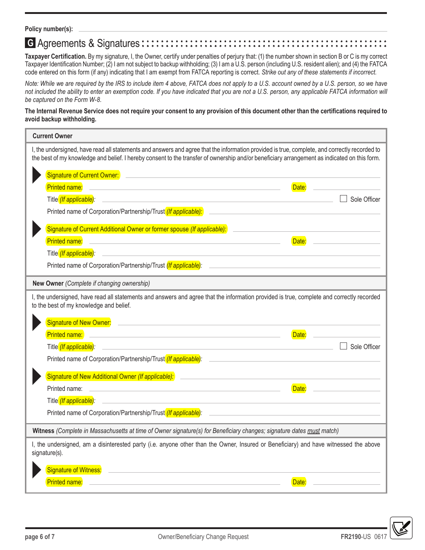### **G** Agreements & Signatures ���������������������������������������������������

**Taxpayer Certification.** By my signature, I, the Owner, certify under penalties of perjury that: (1) the number shown in section B or C is my correct Taxpayer Identification Number; (2) I am not subject to backup withholding; (3) I am a U.S. person (including U.S. resident alien); and (4) the FATCA code entered on this form (if any) indicating that I am exempt from FATCA reporting is correct. *Strike out any of these statements if incorrect.*

*Note: While we are required by the IRS to include item 4 above, FATCA does not apply to a U.S. account owned by a U.S. person, so we have not included the ability to enter an exemption code. If you have indicated that you are not a U.S. person, any applicable FATCA information will be captured on the Form W-8.*

The Internal Revenue Service does not require your consent to any provision of this document other than the certifications required to **avoid backup withholding.**

| <b>Current Owner</b>                                                                                                                                                                                                                                                                          |  |  |  |  |  |  |  |  |
|-----------------------------------------------------------------------------------------------------------------------------------------------------------------------------------------------------------------------------------------------------------------------------------------------|--|--|--|--|--|--|--|--|
| I, the undersigned, have read all statements and answers and agree that the information provided is true, complete, and correctly recorded to<br>the best of my knowledge and belief. I hereby consent to the transfer of ownership and/or beneficiary arrangement as indicated on this form. |  |  |  |  |  |  |  |  |
|                                                                                                                                                                                                                                                                                               |  |  |  |  |  |  |  |  |
| <b>Printed name:</b><br>Date:<br><u> 1989 - Johann Barn, amerikansk politiker (d. 1989)</u><br>Title (If applicable):<br>Sole Officer<br><u> 1989 - Johann Barn, amerikansk politiker (d. 1989)</u>                                                                                           |  |  |  |  |  |  |  |  |
| Printed name of Corporation/Partnership/Trust (If applicable):<br>The manufacture of Corporation/Partnership/Trust (If applicable):                                                                                                                                                           |  |  |  |  |  |  |  |  |
|                                                                                                                                                                                                                                                                                               |  |  |  |  |  |  |  |  |
| Signature of Current Additional Owner or former spouse (If applicable):<br>Printed name:                                                                                                                                                                                                      |  |  |  |  |  |  |  |  |
| Date:<br><u> 1989 - Andrea Station Barbara, actor a contrador de la contrador de la contrador de la contrador de la contra</u><br>Title (If applicable):                                                                                                                                      |  |  |  |  |  |  |  |  |
| Printed name of Corporation/Partnership/Trust (If applicable):<br><u> 1980 - John Stone, Amerikaansk politiker (</u> † 1902)                                                                                                                                                                  |  |  |  |  |  |  |  |  |
|                                                                                                                                                                                                                                                                                               |  |  |  |  |  |  |  |  |
| New Owner (Complete if changing ownership)                                                                                                                                                                                                                                                    |  |  |  |  |  |  |  |  |
| I, the undersigned, have read all statements and answers and agree that the information provided is true, complete and correctly recorded<br>to the best of my knowledge and belief.                                                                                                          |  |  |  |  |  |  |  |  |
|                                                                                                                                                                                                                                                                                               |  |  |  |  |  |  |  |  |
| Signature of New Owner: 2008 Communication of New Owner:                                                                                                                                                                                                                                      |  |  |  |  |  |  |  |  |
| Printed name: Note and the set of the set of the set of the set of the set of the set of the set of the set of<br>Date:<br>Sole Officer                                                                                                                                                       |  |  |  |  |  |  |  |  |
| Printed name of Corporation/Partnership/Trust (If applicable):<br><u> 1989 - Andrea State Barbara, amerikan personal di sebagai personal di sebagai personal di sebagai personal di</u>                                                                                                       |  |  |  |  |  |  |  |  |
|                                                                                                                                                                                                                                                                                               |  |  |  |  |  |  |  |  |
| Signature of New Additional Owner (If applicable): And the Community of the Community of New Additional Owner                                                                                                                                                                                 |  |  |  |  |  |  |  |  |
| <u> 1989 - Johann Barn, amerikansk politiker (d. 1989)</u><br>Printed name:<br>Date:                                                                                                                                                                                                          |  |  |  |  |  |  |  |  |
| Title (If applicable):<br><u> 1989 - Johann John Stein, markin fan it ferskearre fan it ferskearre fan it ferskearre fan it ferskearre fan</u><br>Printed name of Corporation/Partnership/Trust <i>(If applicable)</i> :                                                                      |  |  |  |  |  |  |  |  |
|                                                                                                                                                                                                                                                                                               |  |  |  |  |  |  |  |  |
| Witness (Complete in Massachusetts at time of Owner signature(s) for Beneficiary changes; signature dates must match)                                                                                                                                                                         |  |  |  |  |  |  |  |  |
| I, the undersigned, am a disinterested party (i.e. anyone other than the Owner, Insured or Beneficiary) and have witnessed the above<br>signature(s).                                                                                                                                         |  |  |  |  |  |  |  |  |
| Signature of Witness:<br><u> 1989 - Andrea Stadt Britain, amerikansk politiker (</u>                                                                                                                                                                                                          |  |  |  |  |  |  |  |  |
| Printed name:<br>Date:                                                                                                                                                                                                                                                                        |  |  |  |  |  |  |  |  |

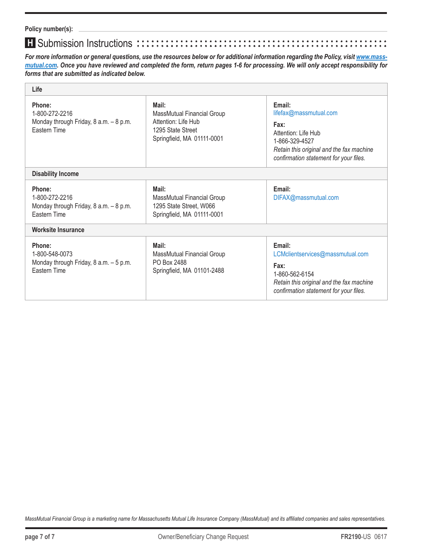#### El Submission Instructions :::::::::::::: . . . . . . . . . . . . . . . . .<br>. . . . . . . . . . . . . . . .

For more information or general questions, use the resources below or for additional information regarding the Policy, visit www.massmutual.com. Once you have reviewed and completed the form, return pages 1-6 for processing. We will only accept responsibility for forms that are submitted as indicated below.

| Life                                                                                      |                                                                                                               |                                                                                                                                                                         |  |  |  |  |  |  |  |  |  |
|-------------------------------------------------------------------------------------------|---------------------------------------------------------------------------------------------------------------|-------------------------------------------------------------------------------------------------------------------------------------------------------------------------|--|--|--|--|--|--|--|--|--|
| Phone:<br>1-800-272-2216<br>Monday through Friday, 8 a.m. - 8 p.m.<br>Fastern Time        | Mail:<br>MassMutual Financial Group<br>Attention: Life Hub<br>1295 State Street<br>Springfield, MA 01111-0001 | Email:<br>lifefax@massmutual.com<br>Fax:<br>Attention: Life Hub<br>1-866-329-4527<br>Retain this original and the fax machine<br>confirmation statement for your files. |  |  |  |  |  |  |  |  |  |
| <b>Disability Income</b>                                                                  |                                                                                                               |                                                                                                                                                                         |  |  |  |  |  |  |  |  |  |
| Phone:<br>1-800-272-2216<br>Monday through Friday, 8 a.m. - 8 p.m.<br><b>Eastern Time</b> | Mail:<br>MassMutual Financial Group<br>1295 State Street, W066<br>Springfield, MA 01111-0001                  | Email:<br>DIFAX@massmutual.com                                                                                                                                          |  |  |  |  |  |  |  |  |  |
| <b>Worksite Insurance</b>                                                                 |                                                                                                               |                                                                                                                                                                         |  |  |  |  |  |  |  |  |  |
| Phone:<br>1-800-548-0073<br>Monday through Friday, 8 a.m. - 5 p.m.<br>Eastern Time        | Mail:<br>MassMutual Financial Group<br>PO Box 2488<br>Springfield, MA 01101-2488                              | Email:<br>LCMclientservices@massmutual.com<br>Fax:<br>1-860-562-6154<br>Retain this original and the fax machine<br>confirmation statement for your files.              |  |  |  |  |  |  |  |  |  |

MassMutual Financial Group is a marketing name for Massachusetts Mutual Life Insurance Company (MassMutual) and its affiliated companies and sales representatives.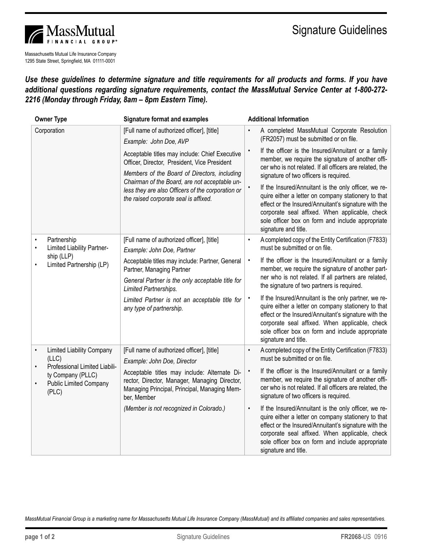# Signature Guidelines



Massachusetts Mutual Life Insurance Company 1295 State Street, Springfield, MA 01111-0001

*Use these guidelines to determine signature and title requirements for all products and forms. If you have additional questions regarding signature requirements, contact the MassMutual Service Center at 1-800-272- 2216 (Monday through Friday, 8am – 8pm Eastern Time).*

| <b>Owner Type</b>                                                                                         | <b>Signature format and examples</b>                                                                                                                         | <b>Additional Information</b>                                                                                                                                                                                                                                                                                  |
|-----------------------------------------------------------------------------------------------------------|--------------------------------------------------------------------------------------------------------------------------------------------------------------|----------------------------------------------------------------------------------------------------------------------------------------------------------------------------------------------------------------------------------------------------------------------------------------------------------------|
| Corporation                                                                                               | [Full name of authorized officer], [title]<br>Example: John Doe, AVP                                                                                         | A completed MassMutual Corporate Resolution<br>(FR2057) must be submitted or on file.                                                                                                                                                                                                                          |
|                                                                                                           | Acceptable titles may include: Chief Executive<br>Officer, Director, President, Vice President<br>Members of the Board of Directors, including               | If the officer is the Insured/Annuitant or a family<br>$\bullet$<br>member, we require the signature of another offi-<br>cer who is not related. If all officers are related, the<br>signature of two officers is required.                                                                                    |
|                                                                                                           | Chairman of the Board, are not acceptable un-<br>less they are also Officers of the corporation or<br>the raised corporate seal is affixed.                  | If the Insured/Annuitant is the only officer, we re-<br>$\bullet$<br>quire either a letter on company stationery to that<br>effect or the Insured/Annuitant's signature with the<br>corporate seal affixed. When applicable, check<br>sole officer box on form and include appropriate<br>signature and title. |
| Partnership<br>Limited Liability Partner-                                                                 | [Full name of authorized officer], [title]<br>Example: John Doe, Partner                                                                                     | A completed copy of the Entity Certification (F7833)<br>$\bullet$<br>must be submitted or on file.                                                                                                                                                                                                             |
| ship (LLP)<br>Limited Partnership (LP)<br>$\bullet$                                                       | Acceptable titles may include: Partner, General<br>Partner, Managing Partner                                                                                 | If the officer is the Insured/Annuitant or a family<br>$\bullet$<br>member, we require the signature of another part-                                                                                                                                                                                          |
|                                                                                                           | General Partner is the only acceptable title for<br>Limited Partnerships.                                                                                    | ner who is not related. If all partners are related,<br>the signature of two partners is required.                                                                                                                                                                                                             |
|                                                                                                           | Limited Partner is not an acceptable title for<br>any type of partnership.                                                                                   | If the Insured/Annuitant is the only partner, we re-<br>$\bullet$<br>quire either a letter on company stationery to that<br>effect or the Insured/Annuitant's signature with the<br>corporate seal affixed. When applicable, check<br>sole officer box on form and include appropriate<br>signature and title. |
| Limited Liability Company<br>$\bullet$<br>(LLC)                                                           | [Full name of authorized officer], [title]<br>Example: John Doe, Director                                                                                    | A completed copy of the Entity Certification (F7833)<br>$\bullet$<br>must be submitted or on file.                                                                                                                                                                                                             |
| Professional Limited Liabili-<br>$\bullet$<br>ty Company (PLLC)<br><b>Public Limited Company</b><br>(PLC) | Acceptable titles may include: Alternate Di-<br>rector, Director, Manager, Managing Director,<br>Managing Principal, Principal, Managing Mem-<br>ber, Member | If the officer is the Insured/Annuitant or a family<br>$\bullet$<br>member, we require the signature of another offi-<br>cer who is not related. If all officers are related, the<br>signature of two officers is required.                                                                                    |
|                                                                                                           | (Member is not recognized in Colorado.)                                                                                                                      | If the Insured/Annuitant is the only officer, we re-<br>$\bullet$<br>quire either a letter on company stationery to that<br>effect or the Insured/Annuitant's signature with the<br>corporate seal affixed. When applicable, check<br>sole officer box on form and include appropriate<br>signature and title. |

*MassMutual Financial Group is a marketing name for Massachusetts Mutual Life Insurance Company (MassMutual) and its affiliated companies and sales representatives.*